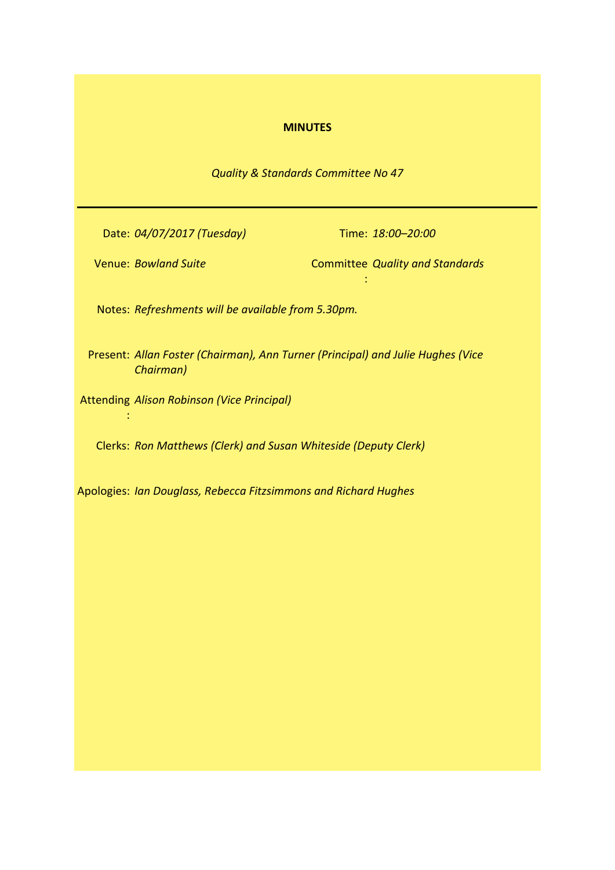# **MINUTES**

*Quality & Standards Committee No 47*

Date: *04/07/2017 (Tuesday)* Time: *18:00–20:00*

:

Venue: *Bowland Suite* 

:

**Committee Quality and Standards** 

Notes: *Refreshments will be available from 5.30pm.*

Present: *Allan Foster (Chairman), Ann Turner (Principal) and Julie Hughes (Vice Chairman)*

Attending *Alison Robinson (Vice Principal)*

Clerks: *Ron Matthews (Clerk) and Susan Whiteside (Deputy Clerk)*

Apologies: *Ian Douglass, Rebecca Fitzsimmons and Richard Hughes*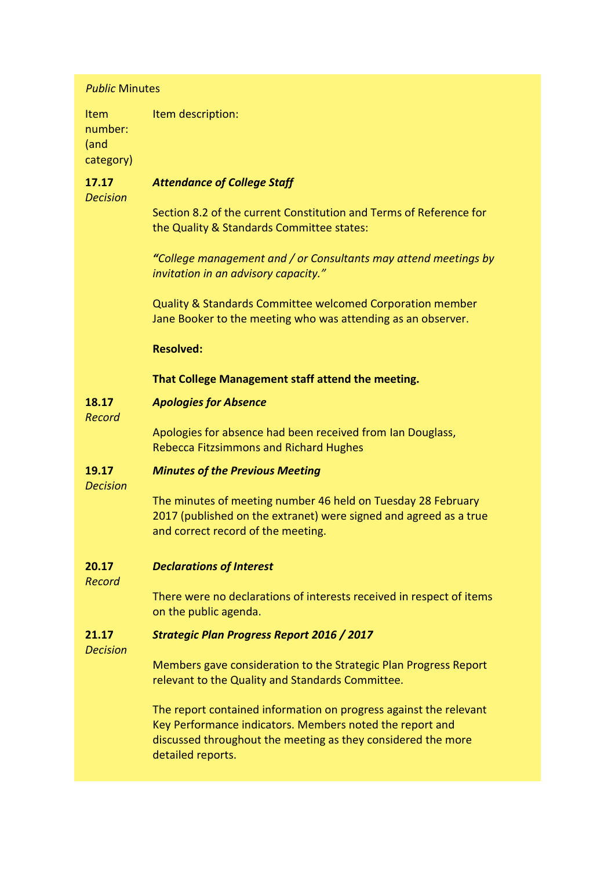| <b>Public Minutes</b>                |                                                                                                                                                                                                                    |
|--------------------------------------|--------------------------------------------------------------------------------------------------------------------------------------------------------------------------------------------------------------------|
| Item<br>number:<br>(and<br>category) | Item description:                                                                                                                                                                                                  |
| 17.17<br><b>Decision</b>             | <b>Attendance of College Staff</b>                                                                                                                                                                                 |
|                                      | Section 8.2 of the current Constitution and Terms of Reference for<br>the Quality & Standards Committee states:                                                                                                    |
|                                      | "College management and / or Consultants may attend meetings by<br>invitation in an advisory capacity."                                                                                                            |
|                                      | Quality & Standards Committee welcomed Corporation member<br>Jane Booker to the meeting who was attending as an observer.                                                                                          |
|                                      | <b>Resolved:</b>                                                                                                                                                                                                   |
|                                      | That College Management staff attend the meeting.                                                                                                                                                                  |
| 18.17<br>Record                      | <b>Apologies for Absence</b>                                                                                                                                                                                       |
|                                      | Apologies for absence had been received from Ian Douglass,<br><b>Rebecca Fitzsimmons and Richard Hughes</b>                                                                                                        |
| 19.17<br><b>Decision</b>             | <b>Minutes of the Previous Meeting</b>                                                                                                                                                                             |
|                                      | The minutes of meeting number 46 held on Tuesday 28 February<br>2017 (published on the extranet) were signed and agreed as a true<br>and correct record of the meeting.                                            |
| 20.17<br><b>Record</b>               | <b>Declarations of Interest</b>                                                                                                                                                                                    |
|                                      | There were no declarations of interests received in respect of items<br>on the public agenda.                                                                                                                      |
| 21.17<br><b>Decision</b>             | <b>Strategic Plan Progress Report 2016 / 2017</b>                                                                                                                                                                  |
|                                      | Members gave consideration to the Strategic Plan Progress Report<br>relevant to the Quality and Standards Committee.                                                                                               |
|                                      | The report contained information on progress against the relevant<br>Key Performance indicators. Members noted the report and<br>discussed throughout the meeting as they considered the more<br>detailed reports. |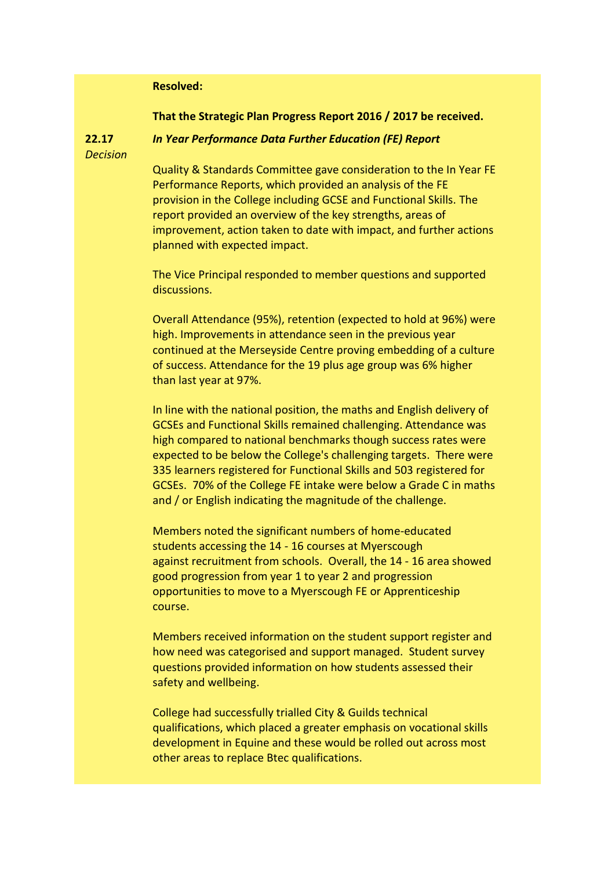## **Resolved:**

#### **That the Strategic Plan Progress Report 2016 / 2017 be received.**

**22.17** *Decision*

## *In Year Performance Data Further Education (FE) Report*

Quality & Standards Committee gave consideration to the In Year FE Performance Reports, which provided an analysis of the FE provision in the College including GCSE and Functional Skills. The report provided an overview of the key strengths, areas of improvement, action taken to date with impact, and further actions planned with expected impact.

The Vice Principal responded to member questions and supported discussions.

Overall Attendance (95%), retention (expected to hold at 96%) were high. Improvements in attendance seen in the previous year continued at the Merseyside Centre proving embedding of a culture of success. Attendance for the 19 plus age group was 6% higher than last year at 97%.

In line with the national position, the maths and English delivery of GCSEs and Functional Skills remained challenging. Attendance was high compared to national benchmarks though success rates were expected to be below the College's challenging targets. There were 335 learners registered for Functional Skills and 503 registered for GCSEs. 70% of the College FE intake were below a Grade C in maths and / or English indicating the magnitude of the challenge.

Members noted the significant numbers of home-educated students accessing the 14 - 16 courses at Myerscough against recruitment from schools. Overall, the 14 - 16 area showed good progression from year 1 to year 2 and progression opportunities to move to a Myerscough FE or Apprenticeship course.

Members received information on the student support register and how need was categorised and support managed. Student survey questions provided information on how students assessed their safety and wellbeing.

College had successfully trialled City & Guilds technical qualifications, which placed a greater emphasis on vocational skills development in Equine and these would be rolled out across most other areas to replace Btec qualifications.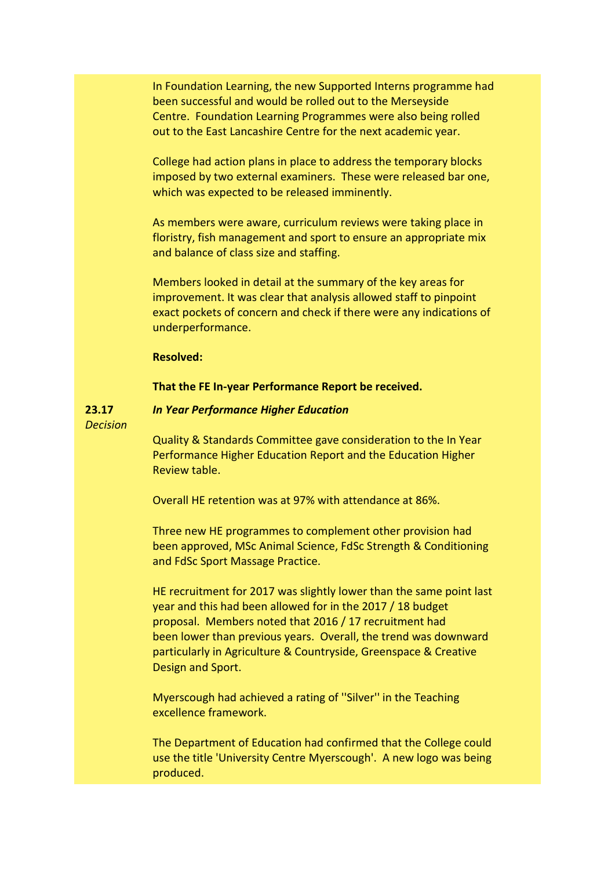In Foundation Learning, the new Supported Interns programme had been successful and would be rolled out to the Merseyside Centre. Foundation Learning Programmes were also being rolled out to the East Lancashire Centre for the next academic year.

College had action plans in place to address the temporary blocks imposed by two external examiners. These were released bar one, which was expected to be released imminently.

As members were aware, curriculum reviews were taking place in floristry, fish management and sport to ensure an appropriate mix and balance of class size and staffing.

Members looked in detail at the summary of the key areas for improvement. It was clear that analysis allowed staff to pinpoint exact pockets of concern and check if there were any indications of underperformance.

# **Resolved:**

## **That the FE In-year Performance Report be received.**

#### **23.17** *In Year Performance Higher Education*

*Decision*

Quality & Standards Committee gave consideration to the In Year Performance Higher Education Report and the Education Higher Review table.

Overall HE retention was at 97% with attendance at 86%.

Three new HE programmes to complement other provision had been approved, MSc Animal Science, FdSc Strength & Conditioning and FdSc Sport Massage Practice.

HE recruitment for 2017 was slightly lower than the same point last year and this had been allowed for in the 2017 / 18 budget proposal. Members noted that 2016 / 17 recruitment had been lower than previous years. Overall, the trend was downward particularly in Agriculture & Countryside, Greenspace & Creative Design and Sport.

Myerscough had achieved a rating of ''Silver'' in the Teaching excellence framework.

The Department of Education had confirmed that the College could use the title 'University Centre Myerscough'. A new logo was being produced.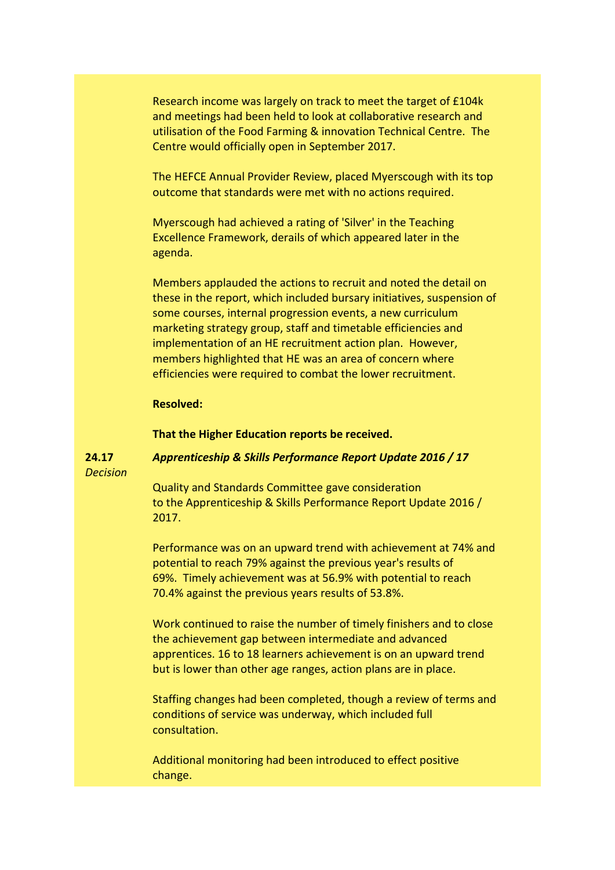Research income was largely on track to meet the target of £104k and meetings had been held to look at collaborative research and utilisation of the Food Farming & innovation Technical Centre. The Centre would officially open in September 2017.

The HEFCE Annual Provider Review, placed Myerscough with its top outcome that standards were met with no actions required.

Myerscough had achieved a rating of 'Silver' in the Teaching Excellence Framework, derails of which appeared later in the agenda.

Members applauded the actions to recruit and noted the detail on these in the report, which included bursary initiatives, suspension of some courses, internal progression events, a new curriculum marketing strategy group, staff and timetable efficiencies and implementation of an HE recruitment action plan. However, members highlighted that HE was an area of concern where efficiencies were required to combat the lower recruitment.

## **Resolved:**

**That the Higher Education reports be received.**

#### **24.17** *Apprenticeship & Skills Performance Report Update 2016 / 17*

*Decision*

Quality and Standards Committee gave consideration to the Apprenticeship & Skills Performance Report Update 2016 / 2017.

Performance was on an upward trend with achievement at 74% and potential to reach 79% against the previous year's results of 69%. Timely achievement was at 56.9% with potential to reach 70.4% against the previous years results of 53.8%.

Work continued to raise the number of timely finishers and to close the achievement gap between intermediate and advanced apprentices. 16 to 18 learners achievement is on an upward trend but is lower than other age ranges, action plans are in place.

Staffing changes had been completed, though a review of terms and conditions of service was underway, which included full consultation.

Additional monitoring had been introduced to effect positive change.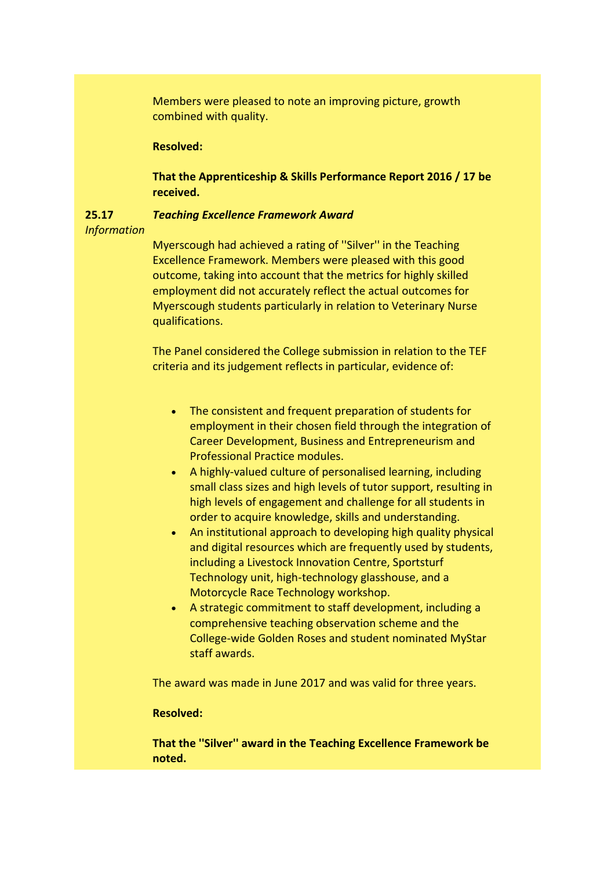Members were pleased to note an improving picture, growth combined with quality.

## **Resolved:**

**That the Apprenticeship & Skills Performance Report 2016 / 17 be received.**

#### **25.17** *Teaching Excellence Framework Award*

### *Information*

Myerscough had achieved a rating of ''Silver'' in the Teaching Excellence Framework. Members were pleased with this good outcome, taking into account that the metrics for highly skilled employment did not accurately reflect the actual outcomes for Myerscough students particularly in relation to Veterinary Nurse qualifications.

The Panel considered the College submission in relation to the TEF criteria and its judgement reflects in particular, evidence of:

- The consistent and frequent preparation of students for employment in their chosen field through the integration of Career Development, Business and Entrepreneurism and Professional Practice modules.
- A highly-valued culture of personalised learning, including small class sizes and high levels of tutor support, resulting in high levels of engagement and challenge for all students in order to acquire knowledge, skills and understanding.
- An institutional approach to developing high quality physical and digital resources which are frequently used by students, including a Livestock Innovation Centre, Sportsturf Technology unit, high-technology glasshouse, and a Motorcycle Race Technology workshop.
- A strategic commitment to staff development, including a comprehensive teaching observation scheme and the College-wide Golden Roses and student nominated MyStar staff awards.

The award was made in June 2017 and was valid for three years.

### **Resolved:**

**That the ''Silver'' award in the Teaching Excellence Framework be noted.**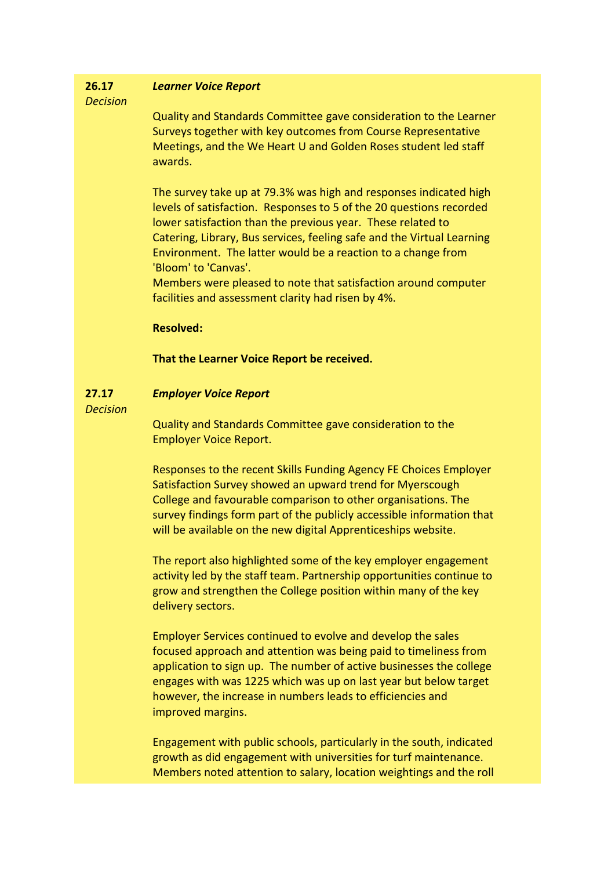#### **26.17** *Learner Voice Report*

# *Decision*

Quality and Standards Committee gave consideration to the Learner Surveys together with key outcomes from Course Representative Meetings, and the We Heart U and Golden Roses student led staff awards.

The survey take up at 79.3% was high and responses indicated high levels of satisfaction. Responses to 5 of the 20 questions recorded lower satisfaction than the previous year. These related to Catering, Library, Bus services, feeling safe and the Virtual Learning Environment. The latter would be a reaction to a change from 'Bloom' to 'Canvas'.

Members were pleased to note that satisfaction around computer facilities and assessment clarity had risen by 4%.

# **Resolved:**

**That the Learner Voice Report be received.**

#### **27.17** *Employer Voice Report*

*Decision*

Quality and Standards Committee gave consideration to the Employer Voice Report.

Responses to the recent Skills Funding Agency FE Choices Employer Satisfaction Survey showed an upward trend for Myerscough College and favourable comparison to other organisations. The survey findings form part of the publicly accessible information that will be available on the new digital Apprenticeships website.

The report also highlighted some of the key employer engagement activity led by the staff team. Partnership opportunities continue to grow and strengthen the College position within many of the key delivery sectors.

Employer Services continued to evolve and develop the sales focused approach and attention was being paid to timeliness from application to sign up. The number of active businesses the college engages with was 1225 which was up on last year but below target however, the increase in numbers leads to efficiencies and improved margins.

Engagement with public schools, particularly in the south, indicated growth as did engagement with universities for turf maintenance. Members noted attention to salary, location weightings and the roll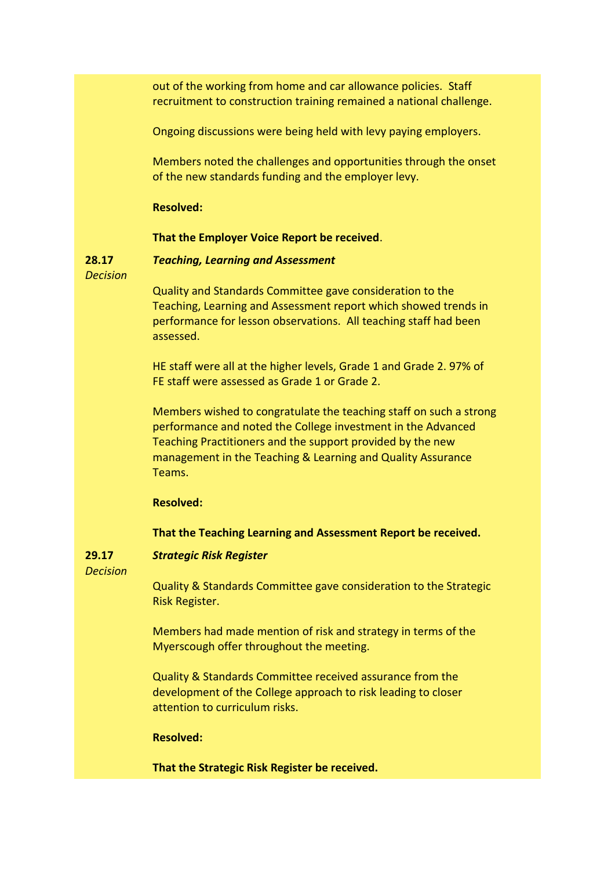out of the working from home and car allowance policies. Staff recruitment to construction training remained a national challenge.

Ongoing discussions were being held with levy paying employers.

Members noted the challenges and opportunities through the onset of the new standards funding and the employer levy.

### **Resolved:**

### **That the Employer Voice Report be received**.

*Teaching, Learning and Assessment*

*Decision*

**28.17**

Quality and Standards Committee gave consideration to the Teaching, Learning and Assessment report which showed trends in performance for lesson observations. All teaching staff had been assessed.

HE staff were all at the higher levels, Grade 1 and Grade 2. 97% of FE staff were assessed as Grade 1 or Grade 2.

Members wished to congratulate the teaching staff on such a strong performance and noted the College investment in the Advanced Teaching Practitioners and the support provided by the new management in the Teaching & Learning and Quality Assurance Teams.

**Resolved:**

## **That the Teaching Learning and Assessment Report be received.**

#### **29.17** *Strategic Risk Register*

*Decision*

Quality & Standards Committee gave consideration to the Strategic Risk Register.

Members had made mention of risk and strategy in terms of the Myerscough offer throughout the meeting.

Quality & Standards Committee received assurance from the development of the College approach to risk leading to closer attention to curriculum risks.

**Resolved:**

**That the Strategic Risk Register be received.**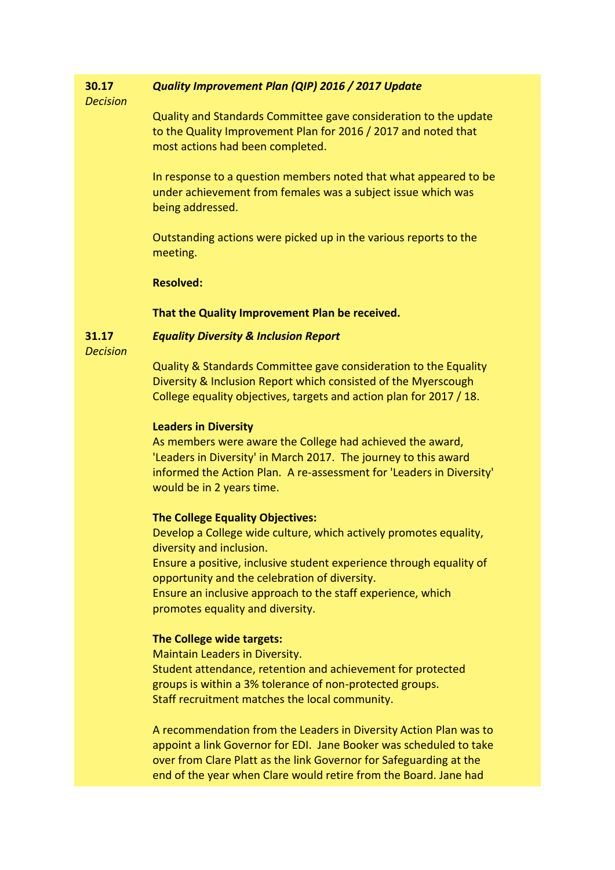#### **30.17** *Quality Improvement Plan (QIP) 2016 / 2017 Update*

## *Decision*

Quality and Standards Committee gave consideration to the update to the Quality Improvement Plan for 2016 / 2017 and noted that most actions had been completed.

In response to a question members noted that what appeared to be under achievement from females was a subject issue which was being addressed.

Outstanding actions were picked up in the various reports to the meeting.

### **Resolved:**

## **That the Quality Improvement Plan be received.**

**31.17** *Equality Diversity & Inclusion Report*

*Decision*

Quality & Standards Committee gave consideration to the Equality Diversity & Inclusion Report which consisted of the Myerscough College equality objectives, targets and action plan for 2017 / 18.

## **Leaders in Diversity**

As members were aware the College had achieved the award, 'Leaders in Diversity' in March 2017. The journey to this award informed the Action Plan. A re-assessment for 'Leaders in Diversity' would be in 2 years time.

## **The College Equality Objectives:**

Develop a College wide culture, which actively promotes equality, diversity and inclusion. Ensure a positive, inclusive student experience through equality of

opportunity and the celebration of diversity.

Ensure an inclusive approach to the staff experience, which promotes equality and diversity.

# **The College wide targets:**

Maintain Leaders in Diversity. Student attendance, retention and achievement for protected groups is within a 3% tolerance of non-protected groups. Staff recruitment matches the local community.

A recommendation from the Leaders in Diversity Action Plan was to appoint a link Governor for EDI. Jane Booker was scheduled to take over from Clare Platt as the link Governor for Safeguarding at the end of the year when Clare would retire from the Board. Jane had